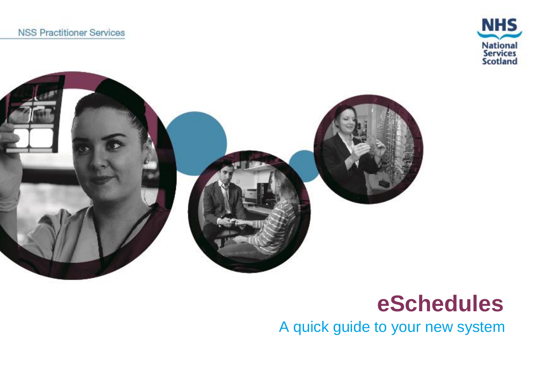



# **eSchedules**

A quick guide to your new system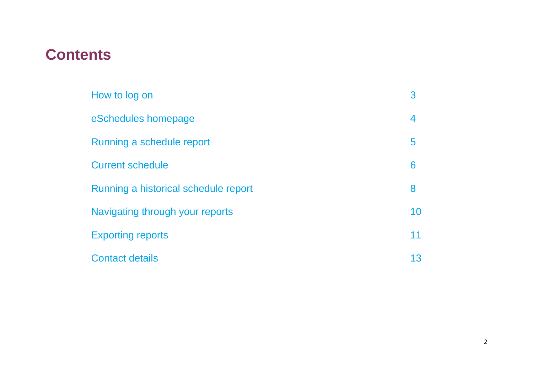## **Contents**

| How to log on                        | 3  |
|--------------------------------------|----|
| eSchedules homepage                  | 4  |
| Running a schedule report            | 5  |
| <b>Current schedule</b>              | 6  |
| Running a historical schedule report | 8  |
| Navigating through your reports      | 10 |
| <b>Exporting reports</b>             | 11 |
| <b>Contact details</b>               | 13 |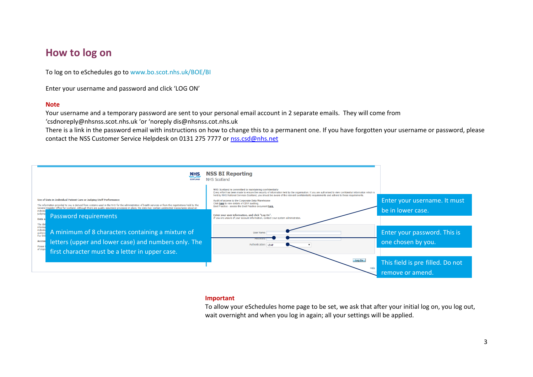#### **How to log on**

To log on to eSchedules go to [www.bo.scot.nhs.uk/BOE/BI](http://www.bo.scot.nhs.uk/BOE/BI) 

Enter your username and password and click 'LOG ON'

#### **Note**

 Your username and a temporary password are sent to your personal email account in 2 separate emails. They will come from '[csdnoreply@nhsnss.scot.nhs.uk](mailto:csdnoreply@nhsnss.scot.nhs.uk) 'or 'noreply dis@nh[snss.cot.nhs.uk](mailto:dis@nhsnss.cot.nhs.uk) 

There is a link in the password email with instructions on how to change this to a permanent one. If you have forgotten your username or password, please contact the NSS Customer Service Helpdesk on 0131 275 7777 or nss.csd@nhs.net



#### **Important**

To allow your eSchedules home page to be set, we ask that after your initial log on, you log out, wait overnight and when you log in again; all your settings will be applied.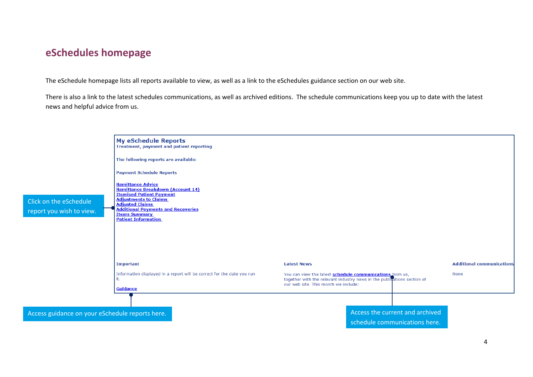#### **eSchedules homepage**

The eSchedule homepage lists all reports available to view, as well as a link to the eSchedules guidance section on our web site.

 There is also a link to the latest schedules communications, as well as archived editions. The schedule communications keep you up to date with the latest news and helpful advice from us.

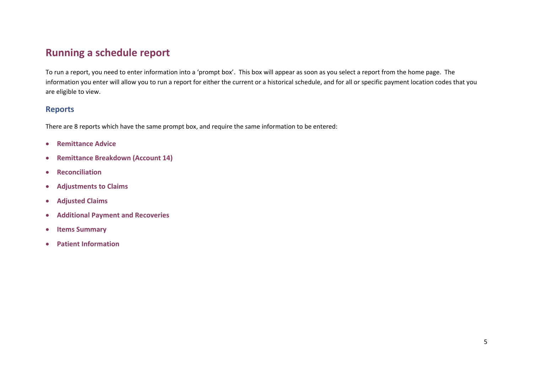### **Running a schedule report**

To run a report, you need to enter information into a 'prompt box'. This box will appear as soon as you select a report from the home page. The information you enter will allow you to run a report for either the current or a historical schedule, and for all or specific payment location codes that you are eligible to view.

#### **Reports**

There are 8 reports which have the same prompt box, and require the same information to be entered:

- **Remittance Advice**
- **Remittance Breakdown (Account 14)**
- **•** Reconciliation
- **Adjustments to Claims**
- **Adjusted Claims**
- **Additional Payment and Recoveries**
- **Items Summary**
- **Patient Information**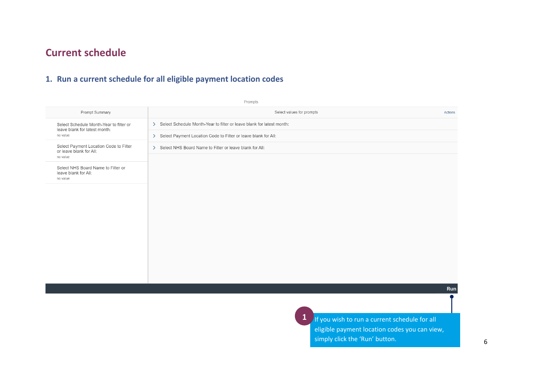## **Current schedule**

#### **1. Run a current schedule for all eligible payment location codes**

|                                                                               | Prompts                                                                 |                |
|-------------------------------------------------------------------------------|-------------------------------------------------------------------------|----------------|
| Prompt Summary                                                                | Select values for prompts                                               | <b>Actions</b> |
| Select Schedule Month-Year to filter or<br>leave blank for latest month:      | > Select Schedule Month-Year to filter or leave blank for latest month: |                |
| no value                                                                      | > Select Payment Location Code to Filter or leave blank for All:        |                |
| Select Payment Location Code to Filter<br>or leave blank for All:<br>no value | > Select NHS Board Name to Filter or leave blank for All:               |                |
| Select NHS Board Name to Filter or<br>leave blank for All:<br>no value        |                                                                         |                |
|                                                                               |                                                                         |                |
|                                                                               |                                                                         |                |
|                                                                               |                                                                         |                |
|                                                                               |                                                                         |                |
|                                                                               |                                                                         |                |
|                                                                               |                                                                         |                |
|                                                                               |                                                                         | Run            |
|                                                                               |                                                                         |                |
|                                                                               | 1 If you wish to run a current schedule for all                         |                |

eligible payment location codes you can view, simply click the 'Run' button. The same state of  $\sim$  6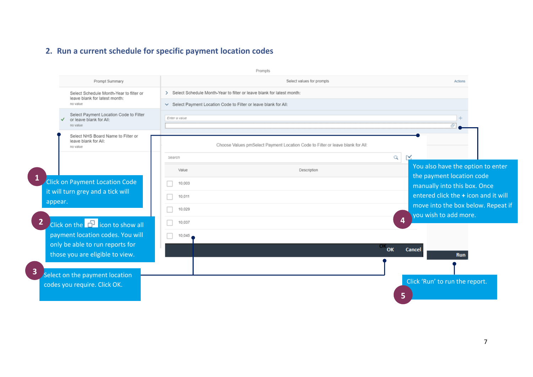## 2. Run a current schedule for specific payment location codes

|   |         |                                                                               |                                                                         | Prompts                                                                        |                                                                |  |
|---|---------|-------------------------------------------------------------------------------|-------------------------------------------------------------------------|--------------------------------------------------------------------------------|----------------------------------------------------------------|--|
|   |         | Prompt Summary                                                                |                                                                         | Select values for prompts                                                      | Actions                                                        |  |
|   |         | Select Schedule Month-Year to filter or<br>leave blank for latest month:      | > Select Schedule Month-Year to filter or leave blank for latest month: |                                                                                |                                                                |  |
|   |         | no value                                                                      | Select Payment Location Code to Filter or leave blank for All:          |                                                                                |                                                                |  |
|   |         | Select Payment Location Code to Filter<br>or leave blank for All:<br>no value | Enter a value                                                           |                                                                                |                                                                |  |
|   |         | Select NHS Board Name to Filter or<br>leave blank for All:<br>no value        |                                                                         | Choose Values pmSelect Payment Location Code to Filter or leave blank for All: |                                                                |  |
|   |         |                                                                               | Search                                                                  |                                                                                | Q                                                              |  |
|   |         |                                                                               | Value                                                                   | Description                                                                    | You also have the option to enter<br>the payment location code |  |
|   |         | Click on Payment Location Code                                                | 10,003                                                                  |                                                                                | manually into this box. Once                                   |  |
|   |         | it will turn grey and a tick will                                             | 10,011                                                                  |                                                                                | entered click the + icon and it will                           |  |
|   | appear. |                                                                               | 10,029                                                                  |                                                                                | move into the box below. Repeat if                             |  |
| 2 |         | Click on the <b>F</b> icon to show all                                        | 10,037                                                                  |                                                                                | you wish to add more.<br>$\overline{4}$                        |  |
|   |         | payment location codes. You will                                              | п<br>10,045                                                             |                                                                                |                                                                |  |
|   |         | only be able to run reports for                                               |                                                                         |                                                                                |                                                                |  |
|   |         | those you are eligible to view.                                               |                                                                         | OKOK                                                                           | Cancel<br><b>Run</b>                                           |  |
| 3 |         |                                                                               |                                                                         |                                                                                |                                                                |  |
|   |         | Select on the payment location                                                |                                                                         |                                                                                | Click 'Run' to run the report.                                 |  |
|   |         | codes you require. Click OK.                                                  |                                                                         |                                                                                |                                                                |  |
|   |         |                                                                               |                                                                         |                                                                                | 5                                                              |  |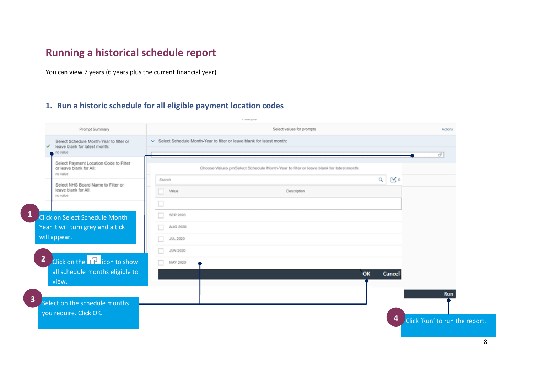## Running a historical schedule report

You can view 7 years (6 years plus the current financial year).

#### 1. Run a historic schedule for all eligible payment location codes

|                                                                                           |                                                                       | PIMIQAS                                                                               |                                   |  |  |
|-------------------------------------------------------------------------------------------|-----------------------------------------------------------------------|---------------------------------------------------------------------------------------|-----------------------------------|--|--|
| Prompt Summary                                                                            |                                                                       | Select values for prompts                                                             | <b>Actions</b>                    |  |  |
| Select Schedule Month-Year to filter or<br>leave blank for latest month:<br>✓<br>no value | Select Schedule Month-Year to filter or leave blank for latest month: |                                                                                       |                                   |  |  |
| Select Payment Location Code to Filter<br>or leave blank for All:<br>no value             |                                                                       | Choose Values pmSelect Schedule Month-Year to filter or leave blank for latest month: | $\sigma$                          |  |  |
| Select NHS Board Name to Filter or<br>leave blank for All:<br>no value                    | Search<br>Value                                                       | $\begin{array}{c c} \mathbf{A} & \mathbf{B} & \mathbf{A} \end{array}$<br>Description  |                                   |  |  |
|                                                                                           | u                                                                     |                                                                                       |                                   |  |  |
| Click on Select Schedule Month                                                            | n<br>SEP 2020                                                         |                                                                                       |                                   |  |  |
| Year it will turn grey and a tick                                                         | AUG 2020<br>o                                                         |                                                                                       |                                   |  |  |
| will appear.                                                                              | n.<br>JUL 2020                                                        |                                                                                       |                                   |  |  |
|                                                                                           | □<br><b>JUN 2020</b>                                                  |                                                                                       |                                   |  |  |
| Click on the <b>P</b> icon to show                                                        | п<br>MAY 2020                                                         |                                                                                       |                                   |  |  |
| all schedule months eligible to<br>view.                                                  |                                                                       | OK<br>Cancel                                                                          |                                   |  |  |
|                                                                                           |                                                                       |                                                                                       | <b>Run</b>                        |  |  |
| Select on the schedule months<br>you require. Click OK.                                   |                                                                       |                                                                                       | 4<br>Click 'Run' to run the repor |  |  |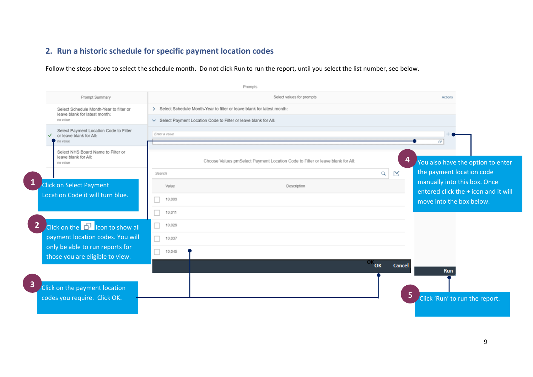### 2. Run a historic schedule for specific payment location codes

Follow the steps above to select the schedule month. Do not click Run to run the report, until you select the list number, see below.

|                         |                                                                               |               | Prompts                                                                        |          |                                                                      |
|-------------------------|-------------------------------------------------------------------------------|---------------|--------------------------------------------------------------------------------|----------|----------------------------------------------------------------------|
|                         | Prompt Summary                                                                |               | Select values for prompts                                                      |          | Actions                                                              |
|                         | Select Schedule Month-Year to filter or<br>leave blank for latest month:      |               | > Select Schedule Month-Year to filter or leave blank for latest month:        |          |                                                                      |
|                         | no value                                                                      |               | Select Payment Location Code to Filter or leave blank for All:                 |          |                                                                      |
|                         | Select Payment Location Code to Filter<br>or leave blank for All:<br>no value | Enter a value |                                                                                |          | Ð                                                                    |
|                         | Select NHS Board Name to Filter or<br>leave blank for All:<br>no value        |               | Choose Values pmSelect Payment Location Code to Filter or leave blank for All: |          | 4<br>You also have the option to enter                               |
|                         |                                                                               | Search        |                                                                                | $\alpha$ | the payment location code<br>$\mathbb{R}$                            |
| $\mathbf{1}$            | Click on Select Payment                                                       | Value         | Description                                                                    |          | manually into this box. Once<br>entered click the + icon and it will |
|                         | Location Code it will turn blue.                                              | 10,003        |                                                                                |          | move into the box below.                                             |
|                         |                                                                               | 10,011        |                                                                                |          |                                                                      |
| $\overline{2}$          | Click on the $\Box$ icon to show all                                          | 10,029        |                                                                                |          |                                                                      |
|                         | payment location codes. You will                                              | П<br>10,037   |                                                                                |          |                                                                      |
|                         | only be able to run reports for<br>those you are eligible to view.            | 10,045        |                                                                                |          |                                                                      |
|                         |                                                                               |               |                                                                                | OK<br>OK | Cancel                                                               |
| $\overline{\mathbf{3}}$ | Click on the payment location<br>codes you require. Click OK.                 |               |                                                                                |          | <b>Run</b><br>5<br>Click 'Run' to run the report.                    |
|                         |                                                                               |               |                                                                                |          |                                                                      |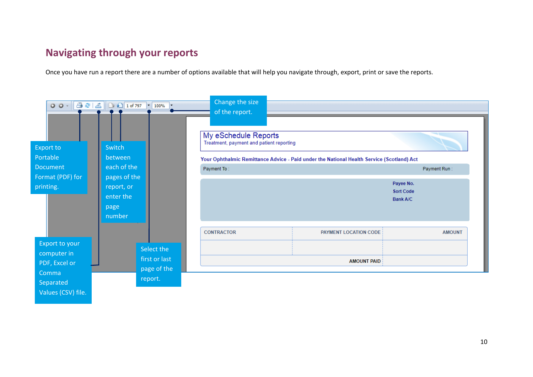## **Navigating through your reports**

Once you have run a report there are a number of options available that will help you navigate through, export, print or save the reports.

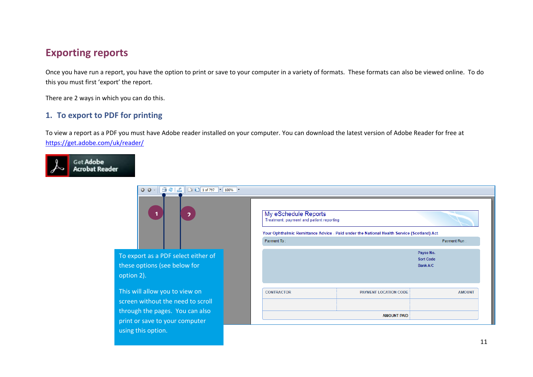## **Exporting reports**

Once you have run a report, you have the option to print or save to your computer in a variety of formats. These formats can also be viewed online. To do this you must first 'export' the report.

There are 2 ways in which you can do this.

#### 1. To export to PDF for printing

To view a report as a PDF you must have Adobe reader installed on your computer. You can download the latest version of Adobe Reader for free at https://get.adobe.com/uk/reader/



| $\boxed{)}$ $\boxed{1}$ of 797 $\boxed{}$ $\boxed{100\%}$ $\boxed{}$<br>1532<br>$00 -$<br>$\blacktriangleleft$<br>$\overline{\phantom{a}}$ | My eSchedule Reports<br>Treatment, payment and patient reporting |                                                                                           |                                                  |
|--------------------------------------------------------------------------------------------------------------------------------------------|------------------------------------------------------------------|-------------------------------------------------------------------------------------------|--------------------------------------------------|
|                                                                                                                                            |                                                                  | Your Ophthalmic Remittance Advice - Paid under the National Health Service (Scotland) Act |                                                  |
|                                                                                                                                            | Payment To:                                                      |                                                                                           | Payment Run:                                     |
| To export as a PDF select either of<br>hese options (see below for<br>option 2).                                                           |                                                                  |                                                                                           | Payee No.<br><b>Sort Code</b><br><b>Bank A/C</b> |
| This will allow you to view on<br>creen without the need to scroll                                                                         | <b>CONTRACTOR</b>                                                | PAYMENT LOCATION CODE                                                                     | <b>AMOUNT</b>                                    |
| hrough the pages. You can also<br>orint or save to your computer<br>using this option.                                                     |                                                                  | <b>AMOUNT PAID</b>                                                                        |                                                  |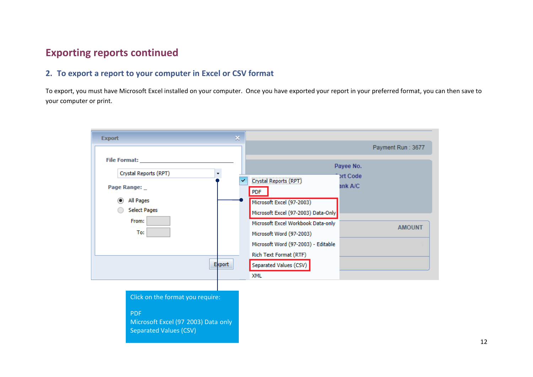## **Exporting reports continued**

#### **2. To export a report to your computer in Excel or CSV format**

 To export, you must have Microsoft Excel installed on your computer. Once you have exported your report in your preferred format, you can then save to your computer or print.